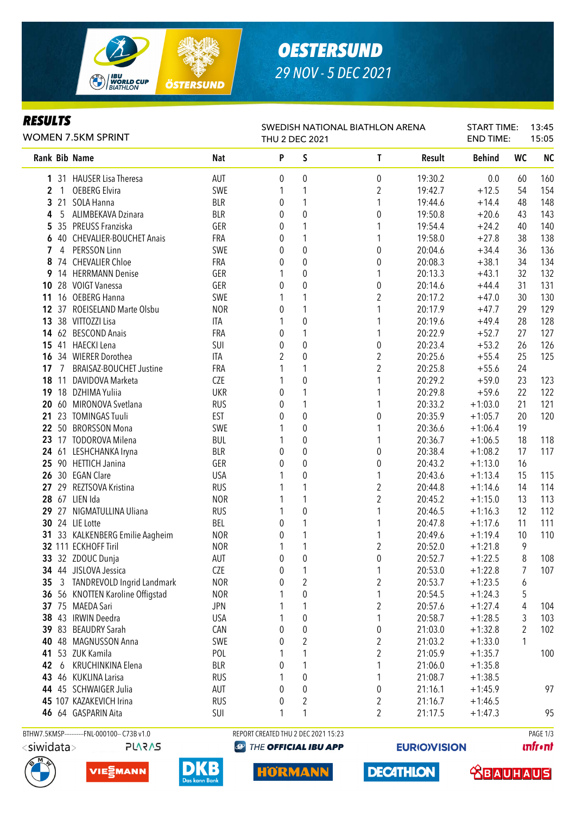

# *OESTERSUND 29 NOV - 5 DEC 2021*

### *RESULTS*

| Rejulij<br><b>WOMEN 7.5KM SPRINT</b> |              |                                 | SWEDISH NATIONAL BIATHLON ARENA<br>THU 2 DEC 2021 |                |                  |                         | <b>START TIME:</b><br><b>END TIME:</b> |               | 13:45<br>15:05 |           |
|--------------------------------------|--------------|---------------------------------|---------------------------------------------------|----------------|------------------|-------------------------|----------------------------------------|---------------|----------------|-----------|
|                                      |              | Rank Bib Name                   | <b>Nat</b>                                        | P              | S                | T                       | Result                                 | <b>Behind</b> | <b>WC</b>      | <b>NC</b> |
| $\mathbf{1}$                         |              | 31 HAUSER Lisa Theresa          | AUT                                               | 0              | $\boldsymbol{0}$ | 0                       | 19:30.2                                | 0.0           | 60             | 160       |
| 2                                    | $\mathbf{1}$ | <b>OEBERG Elvira</b>            | SWE                                               | 1              | 1                | $\overline{\mathbf{c}}$ | 19:42.7                                | $+12.5$       | 54             | 154       |
| 3                                    |              | 21 SOLA Hanna                   | <b>BLR</b>                                        | 0              | $\mathbf{1}$     |                         | 19:44.6                                | $+14.4$       | 48             | 148       |
| 4                                    | 5            | ALIMBEKAVA Dzinara              | <b>BLR</b>                                        | 0              | $\pmb{0}$        | 0                       | 19:50.8                                | $+20.6$       | 43             | 143       |
| 5                                    |              | 35 PREUSS Franziska             | GER                                               | 0              | 1                |                         | 19:54.4                                | $+24.2$       | 40             | 140       |
| 6                                    |              | 40 CHEVALIER-BOUCHET Anais      | FRA                                               | 0              | 1                |                         | 19:58.0                                | $+27.8$       | 38             | 138       |
| 7                                    | 4            | PERSSON Linn                    | SWE                                               | 0              | $\mathbf{0}$     | 0                       | 20:04.6                                | $+34.4$       | 36             | 136       |
| 8                                    |              | 74 CHEVALIER Chloe              | FRA                                               | 0              | 0                | 0                       | 20:08.3                                | $+38.1$       | 34             | 134       |
| 9                                    |              | 14 HERRMANN Denise              | GER                                               | 1              | 0                | 1                       | 20:13.3                                | $+43.1$       | 32             | 132       |
| 10                                   |              | 28 VOIGT Vanessa                | GER                                               | 0              | $\mathbf{0}$     | 0                       | 20:14.6                                | $+44.4$       | 31             | 131       |
| 11                                   |              | 16 OEBERG Hanna                 | SWE                                               | 1              | 1                | 2                       | 20:17.2                                | $+47.0$       | 30             | 130       |
|                                      |              | 12 37 ROEISELAND Marte Olsbu    | <b>NOR</b>                                        | 0              | 1                |                         | 20:17.9                                | $+47.7$       | 29             | 129       |
| 13                                   |              | 38 VITTOZZI Lisa                | ITA                                               |                | 0                |                         | 20:19.6                                | $+49.4$       | 28             | 128       |
| 14                                   |              | 62 BESCOND Anais                | FRA                                               | 0              | 1                |                         | 20:22.9                                | $+52.7$       | 27             | 127       |
| 15                                   |              | 41 HAECKI Lena                  | SUI                                               | 0              | $\mathbf{0}$     | 0                       | 20:23.4                                | $+53.2$       | 26             | 126       |
| 16                                   |              | 34 WIERER Dorothea              | ITA                                               | $\overline{2}$ | $\mathbf{0}$     | $\overline{2}$          | 20:25.6                                | $+55.4$       | 25             | 125       |
| 17                                   | 7            | <b>BRAISAZ-BOUCHET Justine</b>  | FRA                                               |                | 1                | 2                       | 20:25.8                                | $+55.6$       | 24             |           |
| 18                                   |              | 11 DAVIDOVA Marketa             | <b>CZE</b>                                        |                | $\boldsymbol{0}$ |                         | 20:29.2                                | $+59.0$       | 23             | 123       |
| 19                                   |              | 18 DZHIMA Yuliia                | <b>UKR</b>                                        | 0              | 1                |                         | 20:29.8                                | $+59.6$       | 22             | 122       |
| 20                                   |              | 60 MIRONOVA Svetlana            | <b>RUS</b>                                        | 0              | 1                |                         | 20:33.2                                | $+1:03.0$     | 21             | 121       |
| 21                                   |              | 23 TOMINGAS Tuuli               | <b>EST</b>                                        | 0              | $\pmb{0}$        | 0                       | 20:35.9                                | $+1:05.7$     | 20             | 120       |
|                                      |              | 22 50 BRORSSON Mona             | SWE                                               |                | $\pmb{0}$        |                         | 20:36.6                                | $+1:06.4$     | 19             |           |
| 23                                   |              | 17 TODOROVA Milena              | <b>BUL</b>                                        |                | $\pmb{0}$        |                         | 20:36.7                                | $+1:06.5$     | 18             | 118       |
| 24                                   |              | 61 LESHCHANKA Iryna             | <b>BLR</b>                                        | 0              | $\pmb{0}$        | 0                       | 20:38.4                                | $+1:08.2$     | 17             | 117       |
| 25                                   |              | 90 HETTICH Janina               | GER                                               | 0              | 0                | 0                       | 20:43.2                                | $+1:13.0$     | 16             |           |
| 26                                   |              | 30 EGAN Clare                   | <b>USA</b>                                        |                | $\pmb{0}$        |                         | 20:43.6                                | $+1:13.4$     | 15             | 115       |
| 27                                   |              | 29 REZTSOVA Kristina            | <b>RUS</b>                                        |                | 1                | $\overline{2}$          | 20:44.8                                | $+1:14.6$     | 14             | 114       |
| 28                                   |              | 67 LIEN Ida                     | <b>NOR</b>                                        |                | 1                | $\overline{2}$          | 20:45.2                                | $+1:15.0$     | 13             | 113       |
|                                      |              | 29 27 NIGMATULLINA Uliana       | <b>RUS</b>                                        |                | $\mathbf{0}$     |                         | 20:46.5                                | $+1:16.3$     | 12             | 112       |
|                                      |              | 30 24 LIE Lotte                 | BEL                                               | 0              | 1                |                         | 20:47.8                                | $+1:17.6$     | 11             | 111       |
|                                      |              | 31 33 KALKENBERG Emilie Aagheim | <b>NOR</b>                                        | 0              | 1                |                         | 20:49.6                                | $+1:19.4$     | 10             | 110       |
|                                      |              | 32 111 ECKHOFF Tiril            | <b>NOR</b>                                        | 1              | 1                | $\overline{2}$          | 20:52.0                                | $+1:21.8$     | 9              |           |
|                                      |              | 33 32 ZDOUC Dunja               | AUT                                               | 0              | 0                | 0                       | 20:52.7                                | $+1:22.5$     | 8              | 108       |
|                                      |              | 34 44 JISLOVA Jessica           | <b>CZE</b>                                        | 0              | 1                |                         | 20:53.0                                | $+1:22.8$     | 7              | 107       |
| 35                                   | 3            | TANDREVOLD Ingrid Landmark      | <b>NOR</b>                                        | 0              | 2                | 2                       | 20:53.7                                | $+1:23.5$     | 6              |           |
| 36                                   |              | 56 KNOTTEN Karoline Offigstad   | <b>NOR</b>                                        |                | 0                |                         | 20:54.5                                | $+1:24.3$     | 5              |           |
|                                      |              | 37 75 MAEDA Sari                | <b>JPN</b>                                        | 1              | 1                | 2                       | 20:57.6                                | $+1:27.4$     | 4              | 104       |
| 38                                   |              | 43 IRWIN Deedra                 | <b>USA</b>                                        | 1              | 0                |                         | 20:58.7                                | $+1:28.5$     | 3              | 103       |
| 39                                   |              | 83 BEAUDRY Sarah                | CAN                                               | 0              | 0                | 0                       | 21:03.0                                | $+1:32.8$     | $\overline{2}$ | 102       |
|                                      |              | 40 48 MAGNUSSON Anna            | SWE                                               | 0              | $\overline{2}$   | 2                       | 21:03.2                                | $+1:33.0$     | 1              |           |

42 6 KRUCHINKINA Elena **BLR** 0 1 1 21:06.0 +1:35.8 46 KUKLINA Larisa **RUS** 1 0 1 21:08.7 +1:38.5 45 SCHWAIGER Julia AUT 0 0 0 21:16.1 +1:45.9 97 107 KAZAKEVICH Irina RUS 0 2 2 21:16.7 +1:46.5 64 GASPARIN Aita **SUI** 1 1 2 21:17.5 +1:47.3 95 BTHW7.5KMSP-----------FNL-000100-- C73B v1.0 REPORT CREATED THU 2 DEC 2021 15:23 PAGE 1/3

**PLARAS** 

**@ THE OFFICIAL IBU APP** 

**41** 53 ZUK Kamila **1 1** POL 1 1 1 2 21:05.9 +1:35.7 100

**EURIO)VISION** 

**unfront** 









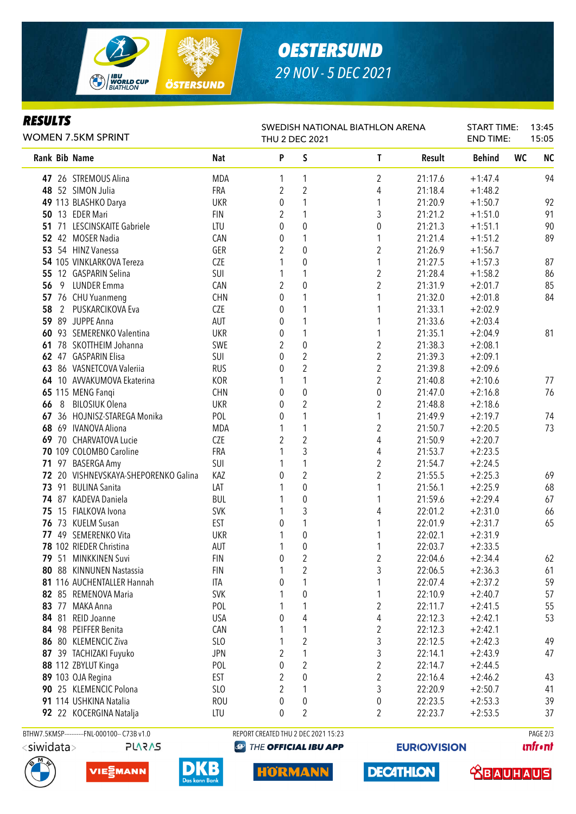

# *OESTERSUND 29 NOV - 5 DEC 2021*

#### *RESULTS*

| rejulij<br><b>WOMEN 7.5KM SPRINT</b> |   |                                      |                 | SWEDISH NATIONAL BIATHLON ARENA<br>THU 2 DEC 2021 | <b>START TIME:</b><br><b>END TIME:</b> |                         | 13:45<br>15:05 |               |    |           |
|--------------------------------------|---|--------------------------------------|-----------------|---------------------------------------------------|----------------------------------------|-------------------------|----------------|---------------|----|-----------|
|                                      |   | Rank Bib Name                        | Nat             | P                                                 | $\sf S$                                | $\mathbf{T}$            | Result         | <b>Behind</b> | WC | <b>NC</b> |
|                                      |   | 47 26 STREMOUS Alina                 | <b>MDA</b>      | 1                                                 | 1                                      | $\overline{2}$          | 21:17.6        | $+1:47.4$     |    | 94        |
|                                      |   | 48 52 SIMON Julia                    | FRA             | $\overline{2}$                                    | $\overline{2}$                         | 4                       | 21:18.4        | $+1:48.2$     |    |           |
|                                      |   | 49 113 BLASHKO Darya                 | <b>UKR</b>      | 0                                                 | 1                                      | 1                       | 21:20.9        | $+1:50.7$     |    | 92        |
|                                      |   | 50 13 EDER Mari                      | <b>FIN</b>      | 2                                                 | 1                                      | 3                       | 21:21.2        | $+1:51.0$     |    | 91        |
|                                      |   | 51 71 LESCINSKAITE Gabriele          | LTU             | 0                                                 | $\mathbf 0$                            | 0                       | 21:21.3        | $+1:51.1$     |    | 90        |
|                                      |   | 52 42 MOSER Nadia                    | CAN             | 0                                                 | 1                                      | 1                       | 21:21.4        | $+1:51.2$     |    | 89        |
|                                      |   | 53 54 HINZ Vanessa                   | GER             | $\overline{2}$                                    | $\mathbf 0$                            | $\boldsymbol{2}$        | 21:26.9        | $+1:56.7$     |    |           |
|                                      |   | 54 105 VINKLARKOVA Tereza            | <b>CZE</b>      |                                                   | $\boldsymbol{0}$                       | 1                       | 21:27.5        | $+1:57.3$     |    | 87        |
| 55                                   |   | 12 GASPARIN Selina                   | SUI             | 1                                                 | 1                                      | $\overline{c}$          | 21:28.4        | $+1:58.2$     |    | 86        |
| 56                                   | 9 | <b>LUNDER Emma</b>                   | CAN             | $\overline{2}$                                    | $\mathbf 0$                            | $\overline{2}$          | 21:31.9        | $+2:01.7$     |    | 85        |
|                                      |   | 57 76 CHU Yuanmeng                   | <b>CHN</b>      | 0                                                 | 1                                      | 1                       | 21:32.0        | $+2:01.8$     |    | 84        |
| 58                                   |   | 2 PUSKARCIKOVA Eva                   | CZE             | 0                                                 | 1                                      | 1                       | 21:33.1        | $+2:02.9$     |    |           |
|                                      |   | 59 89 JUPPE Anna                     | AUT             | 0                                                 | 1                                      | 1                       | 21:33.6        | $+2:03.4$     |    |           |
|                                      |   | 60 93 SEMERENKO Valentina            | <b>UKR</b>      | 0                                                 | 1                                      | 1                       | 21:35.1        | $+2:04.9$     |    | 81        |
|                                      |   | 61 78 SKOTTHEIM Johanna              | SWE             | 2                                                 | $\mathbf 0$                            | $\overline{\mathbf{c}}$ | 21:38.3        | $+2:08.1$     |    |           |
|                                      |   | 62 47 GASPARIN Elisa                 | SUI             | 0                                                 | 2                                      | $\overline{2}$          | 21:39.3        | $+2:09.1$     |    |           |
|                                      |   | 63 86 VASNETCOVA Valeriia            | <b>RUS</b>      | 0                                                 | 2                                      | $\overline{\mathbf{c}}$ | 21:39.8        | $+2:09.6$     |    |           |
|                                      |   | 64 10 AVVAKUMOVA Ekaterina           | <b>KOR</b>      | 1                                                 | 1                                      | $\overline{\mathbf{c}}$ | 21:40.8        | $+2:10.6$     |    | 77        |
|                                      |   | 65 115 MENG Fanqi                    | <b>CHN</b>      | 0                                                 | 0                                      | 0                       | 21:47.0        | $+2:16.8$     |    | 76        |
| 66                                   |   | 8 BILOSIUK Olena                     | <b>UKR</b>      | 0                                                 | $\overline{2}$                         | $\overline{\mathbf{c}}$ | 21:48.8        | $+2:18.6$     |    |           |
|                                      |   | 67 36 HOJNISZ-STAREGA Monika         | POL             | 0                                                 | 1                                      | 1                       | 21:49.9        | $+2:19.7$     |    | 74        |
|                                      |   | 68 69 IVANOVA Aliona                 | <b>MDA</b>      | 1                                                 | 1                                      | $\overline{\mathbf{c}}$ | 21:50.7        | $+2:20.5$     |    | 73        |
|                                      |   | 69 70 CHARVATOVA Lucie               | CZE             | $\overline{2}$                                    | $\overline{\mathbf{c}}$                | 4                       | 21:50.9        | $+2:20.7$     |    |           |
|                                      |   | 70 109 COLOMBO Caroline              | FRA             |                                                   | 3                                      | 4                       | 21:53.7        | $+2:23.5$     |    |           |
|                                      |   | 71 97 BASERGA Amy                    | SUI             | 1                                                 | 1                                      | $\overline{\mathbf{c}}$ | 21:54.7        | $+2:24.5$     |    |           |
|                                      |   | 72 20 VISHNEVSKAYA-SHEPORENKO Galina | KAZ             | 0                                                 | $\overline{2}$                         | $\overline{2}$          | 21:55.5        | $+2:25.3$     |    | 69        |
|                                      |   | 73 91 BULINA Sanita                  | LAT             | 1                                                 | $\boldsymbol{0}$                       | 1                       | 21:56.1        | $+2:25.9$     |    | 68        |
|                                      |   | 74 87 KADEVA Daniela                 | <b>BUL</b>      |                                                   | $\boldsymbol{0}$                       |                         | 21:59.6        | $+2:29.4$     |    | 67        |
|                                      |   | 75 15 FIALKOVA Ivona                 | <b>SVK</b>      | 1                                                 | 3                                      | 4                       | 22:01.2        | $+2:31.0$     |    | 66        |
|                                      |   | 76 73 KUELM Susan                    | <b>EST</b>      | 0                                                 | 1                                      |                         | 22:01.9        | $+2:31.7$     |    | 65        |
|                                      |   | 77 49 SEMERENKO Vita                 | <b>UKR</b>      | 1                                                 | $\boldsymbol{0}$                       |                         | 22:02.1        | $+2:31.9$     |    |           |
|                                      |   | 78 102 RIEDER Christina              | AUT             | 1                                                 | 0                                      | 1                       | 22:03.7        | $+2:33.5$     |    |           |
|                                      |   | 51 MINKKINEN Suvi                    | <b>FIN</b>      | 0                                                 | 2                                      | 2                       | 22:04.6        | $+2:34.4$     |    | 62        |
| 80.                                  |   | 88 KINNUNEN Nastassia                | <b>FIN</b>      | 1                                                 | 2                                      | 3                       | 22:06.5        | $+2:36.3$     |    | 61        |
|                                      |   | 81 116 AUCHENTALLER Hannah           | ITA             | 0                                                 | 1                                      | 1                       | 22:07.4        | $+2:37.2$     |    | 59        |
|                                      |   | 82 85 REMENOVA Maria                 | <b>SVK</b>      | 1                                                 | $\boldsymbol{0}$                       | 1                       | 22:10.9        | $+2:40.7$     |    | 57        |
|                                      |   | 83 77 MAKA Anna                      | POL             | 1                                                 | 1                                      | 2                       | 22:11.7        | $+2:41.5$     |    | 55        |
|                                      |   | 84 81 REID Joanne                    | <b>USA</b>      | 0                                                 | 4                                      | 4                       | 22:12.3        | $+2:42.1$     |    | 53        |
|                                      |   | 84 98 PEIFFER Benita                 | CAN             | 1                                                 | 1                                      | $\boldsymbol{2}$        | 22:12.3        | $+2:42.1$     |    |           |
| 86                                   |   | 80 KLEMENCIC Ziva                    | SL <sub>O</sub> | 1                                                 | 2                                      | 3                       | 22:12.5        | $+2:42.3$     |    | 49        |
| 87                                   |   | 39 TACHIZAKI Fuyuko                  | <b>JPN</b>      | 2                                                 | 1                                      | 3                       | 22:14.1        | $+2:43.9$     |    | 47        |
|                                      |   | 88 112 ZBYLUT Kinga                  | POL             | 0                                                 | 2                                      | $\boldsymbol{2}$        | 22:14.7        | $+2:44.5$     |    |           |
|                                      |   | 89 103 OJA Regina                    | EST             | $\overline{2}$                                    | 0                                      | $\boldsymbol{2}$        | 22:16.4        | $+2:46.2$     |    | 43        |
|                                      |   | 90 25 KLEMENCIC Polona               | SLO             | $\overline{2}$                                    | 1                                      | 3                       | 22:20.9        | $+2:50.7$     |    | 41        |
|                                      |   | 91 114 USHKINA Natalia               | <b>ROU</b>      | 0                                                 | 0                                      | 0                       | 22:23.5        | $+2:53.3$     |    | 39        |
|                                      |   | 92 22 KOCERGINA Natalja              | LTU             | 0                                                 | 2                                      | $\overline{\mathbf{c}}$ | 22:23.7        | $+2:53.5$     |    | 37        |

**PLARAS** 







HÖRMANN

**EURIO)VISION** 

**DECATHLON** 

**unfront** 

 **<u>CBAUHAUS</u>**